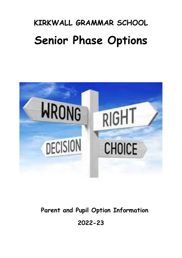# **KIRKWALL GRAMMAR SCHOOL Senior Phase Options**



## **Parent and Pupil Option Information**

**2022-23**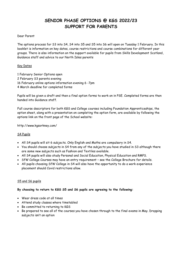## **SENIOR PHASE OPTIONS @ KGS 2022/23 SUPPORT FOR PARENTS**

#### Dear Parent

The options process for S3 into S4, S4 into S5 and S5 into S6 will open on Tuesday 1 February. In this booklet is information on key dates, course restrictions and course combinations for different year groups. There is also information on the support available for pupils from Skills Development Scotland, Guidance staff and advice to our North Isles parents

#### Key Dates

1 February Senior Options open 2 February S3 parents evening 16 February online options information evening 6 -7pm 4 March deadline for completed forms

Pupils will be given a draft and then a final option forms to work on in PSE. Completed forms are then handed into Guidance staff.

Full course descriptors for both KGS and College courses including Foundation Apprenticeships, the option sheet, along with a presentation on completing the option form, are available by following the options link on the front page of the School website:

http://www.kgsorkney.com/

#### S4 Pupils

- All S4 pupils will sit 6 subjects. Only English and Maths are compulsory in S4.
- You should choose subjects in S4 from any of the subjects you have studied in S3 although there are some new subjects such as Fashion and Textiles available.
- All S4 pupils will also study Personal and Social Education, Physical Education and RMPS.
- SfW College Courses may have an entry requirement see the College Brochure for details.
- All pupils choosing SfW College in S4 will also have the opportunity to do a work experience placement should Covid restrictions allow.

#### S5 and S6 pupils

#### **By choosing to return to KGS S5 and S6 pupils are agreeing to the following:**

- Wear dress code at all times
- Attend study classes where timetabled
- Be committed to returning to KGS
- Be prepared to see all of the courses you have chosen through to the final exams in May. Dropping subjects isn't an option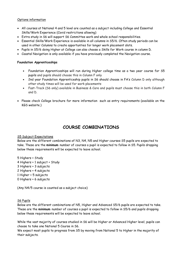#### Options information

- All courses at National 4 and 5 level are counted as a subject including College and Essential Skills/Work Experience (Covid restrictions allowing)
- Extra study in S6 will support S6 Committee work and whole school responsibilities.
- Essential Skills/Work Experience is available in all columns in S5/6. Often study periods can be used in other Columns to create opportunties for longer work placement slots.
- Pupils in S5/6 doing Higher at College can also choose a Skills for Work course in column D.
- Coastal Navigation is only available if you have previously completed the Navigation course.

#### **Foundation Apprenticeships**

- Foundation Apprenticeships will run during Higher college time as a two year course for S5 pupils and pupils should choose this in Column F only
- 2nd year Foundation Apprenticeship pupils in S6 should choose in FA's Column D only although other study times will be used for work placements
- Fast-Track (S6 only) available in Business & Care and pupils must choose this in both Column F and D.
- Please check College brochure for more information such as entry requirements (available on the KGS website.)

### **COURSE COMBINATIONS**

#### S5 Subject Expectations

Below are the different combinations of N3, N4, N5 and Higher courses S5 pupils are expected to take. These are the **minimum** number of courses a pupil is expected to follow in S5. Pupils dropping below these requirements will be expected to leave school.

5 Highers + Study 4 Highers + 1 subject + Study 3 Highers + 3 subjects 2 Highers + 4 subjects 1 Higher + 5 subjects 0 Highers + 6 subjects

(Any N4/5 course is counted as a subject choice)

#### S6 Pupils

Below are the different combinations of N5, Higher and Advanced S5/6 pupils are expected to take. These are the **minimum** number of courses a pupil is expected to follow in S5/6 and pupils dropping below these requirements will be expected to leave school.

While the vast majority of courses studied in S6 will be Higher or Advanced Higher level, pupils can choose to take one National 5 Course in S6.

We expect most pupils to progress from S5 by moving from National 5 to Higher in the majority of their subjects.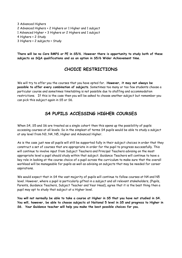3 Advanced Highers 2 Advanced Highers + 2 Highers or 1 Higher and 1 subject 1 Advanced Higher + 3 Highers or 2 Highers and 1 subject 4 Highers + 2 Study 3 Highers + 2 subjects + Study

**There will be no Core RMPS or PE in S5/6. However there is opportunity to study both of these subjects as SQA qualifications and as an option in S5/6 Wider Achievement time.**

## **CHOICE RESTRICTIONS**

We will try to offer you the courses that you have opted for. **However, it may not always be possible to offer every combination of subjects**. Sometimes too many or too few students choose a particular course and sometimes timetabling is not possible due to staffing and accommodation restrictions. If this is the case then you will be asked to choose another subject but remember you can pick this subject again in S5 or S6.

## **S4 PUPILS ACCESSING HIGHER COURSES**

When S4, S5 and S6 are treated as a single cohort then this opens up the possibility of pupils accessing courses at all levels. So in the simplest of terms S4 pupils would be able to study a subject at any level from N3, N4, N5, Higher and Advanced Higher.

As is the case just now all pupils will still be supported fully in their subject choices in order that they construct a set of courses that are appropriate in order for the pupil to progress successfully. This will continue to involve input from Subject Teachers and Principal Teachers advising on the most appropriate level a pupil should study within that subject. Guidance Teachers will continue to have a key role in looking at the course choice of a pupil across the curriculum to make sure that the overall workload will be manageable for pupils as well as advising on subjects that may be needed for career aspirations.

We would expect that in S4 the vast majority of pupils will continue to follow courses at N4 and N5 level. However, where a pupil is particularly gifted in a subject and all relevant stakeholders, (Pupils, Parents, Guidance Teachers, Subject Teacher and Year Head), agree that it is the best thing then a pupil may opt to study that subject at a Higher level.

**You will not normally be able to take a course at Higher in S5 that you have not studied in S4. You will, however, be able to choose subjects at National 5 level in S5 and progress to Higher in S6. Your Guidance teacher will help you make the best possible choices for you.**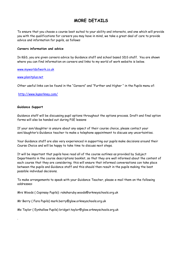## **MORE DETAILS**

To ensure that you choose a course best suited to your ability and interests, and one which will provide you with the qualifications for careers you may have in mind, we take a great deal of care to provide advice and information for pupils, as follows:

#### **Careers information and advice**

In KGS, you are given careers advice by Guidance staff and school based SDS staff. You are shown where you can find information on careers and links to my world of work website is below.

[www.myworldofwork.co.uk](http://www.myworldofwork.co.uk/)

#### [www.planitplus.net](http://www.planitplus.net/)

Other useful links can be found in the "Careers" and "Further and Higher " in the Pupils menu of:

<http://www.kgsorkney.com/>

#### **Guidance Support**

.

Guidance staff will be discussing pupil options throughout the options process. Draft and final option forms will also be handed out during PSE lessons

If your son/daughter is unsure about any aspect of their course choice, please contact your son/daughter's Guidance teacher to make a telephone appointment to discuss any uncertainties.

Your Guidance staff are also very experienced in supporting our pupils make decisions around their Course Choice and will be happy to take time to discuss next steps.

It will be important that pupils have read all of the course outlines as provided by Subject Departments in the course descriptions booklet, so that they are well informed about the content of each course that they are considering; this will ensure that informed conversations can take place between the pupils and Guidance staff and this should then result in the pupils making the best possible individual decisions.

To make arrangements to speak with your Guidance Teacher, please e-mail them on the following addresses:

Mrs Woods ( Copinsay Pupils): raksharuby.woods@orkneyschools.org.uk

Mr Berry ( Fara Pupils) mark.berry@glow.orkneyschools.org.uk

Ms Taylor ( Eynhallow Pupils) bridget.taylor@glow.orkneyschools.org.uk